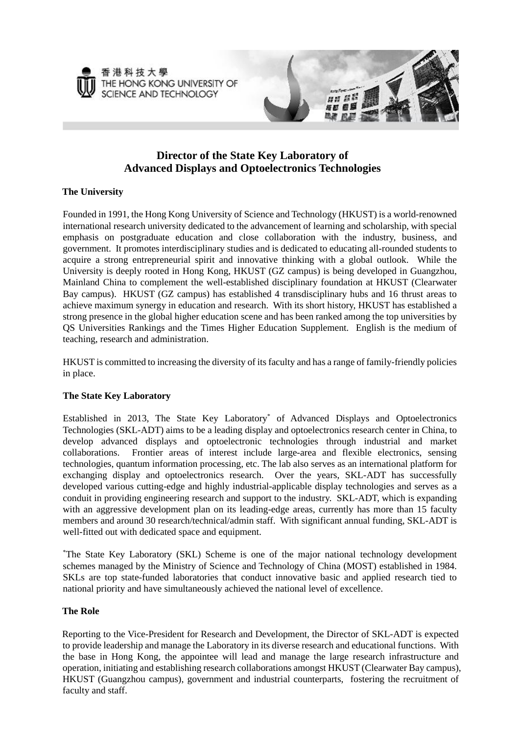



# **Director of the State Key Laboratory of Advanced Displays and Optoelectronics Technologies**

## **The University**

Founded in 1991, the Hong Kong University of Science and Technology (HKUST) is a world-renowned international research university dedicated to the advancement of learning and scholarship, with special emphasis on postgraduate education and close collaboration with the industry, business, and government. It promotes interdisciplinary studies and is dedicated to educating all-rounded students to acquire a strong entrepreneurial spirit and innovative thinking with a global outlook. While the University is deeply rooted in Hong Kong, HKUST (GZ campus) is being developed in Guangzhou, Mainland China to complement the well-established disciplinary foundation at HKUST (Clearwater Bay campus). HKUST (GZ campus) has established 4 transdisciplinary hubs and 16 thrust areas to achieve maximum synergy in education and research. With its short history, HKUST has established a strong presence in the global higher education scene and has been ranked among the top universities by QS Universities Rankings and the Times Higher Education Supplement. English is the medium of teaching, research and administration.

HKUST is committed to increasing the diversity of its faculty and has a range of family-friendly policies in place.

## **The State Key Laboratory**

Established in 2013, The State Key Laboratory\* of Advanced Displays and Optoelectronics Technologies (SKL-ADT) aims to be a leading display and optoelectronics research center in China, to develop advanced displays and optoelectronic technologies through industrial and market collaborations. Frontier areas of interest include large-area and flexible electronics, sensing technologies, quantum information processing, etc. The lab also serves as an international platform for exchanging display and optoelectronics research. Over the years, SKL-ADT has successfully developed various cutting-edge and highly industrial-applicable display technologies and serves as a conduit in providing engineering research and support to the industry. SKL-ADT, which is expanding with an aggressive development plan on its leading-edge areas, currently has more than 15 faculty members and around 30 research/technical/admin staff. With significant annual funding, SKL-ADT is well-fitted out with dedicated space and equipment.

\* The State Key Laboratory (SKL) Scheme is one of the major national technology development schemes managed by the Ministry of Science and Technology of China (MOST) established in 1984. SKLs are top state-funded laboratories that conduct innovative basic and applied research tied to national priority and have simultaneously achieved the national level of excellence.

#### **The Role**

Reporting to the Vice-President for Research and Development, the Director of SKL-ADT is expected to provide leadership and manage the Laboratory in its diverse research and educational functions. With the base in Hong Kong, the appointee will lead and manage the large research infrastructure and operation, initiating and establishing research collaborations amongst HKUST (Clearwater Bay campus), HKUST (Guangzhou campus), government and industrial counterparts, fostering the recruitment of faculty and staff.